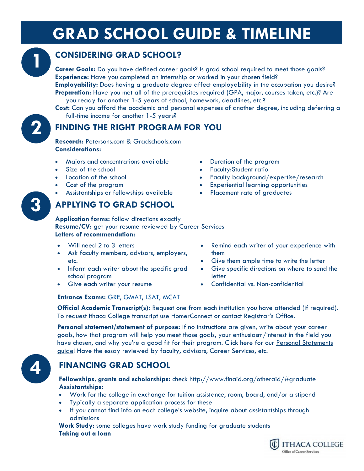# **GRAD SCHOOL GUIDE & TIMELINE**



**2**

### **CONSIDERING GRAD SCHOOL?**

**Career Goals:** Do you have defined career goals? Is grad school required to meet those goals? **Experience:** Have you completed an internship or worked in your chosen field?

**Employability:** Does having a graduate degree affect employability in the occupation you desire? **Preparation:** Have you met all of the prerequisites required (GPA, major, courses taken, etc.)? Are you ready for another 1-5 years of school, homework, deadlines, etc.?

**Cost:** Can you afford the academic and personal expenses of another degree, including deferring a full-time income for another 1-5 years?

## **FINDING THE RIGHT PROGRAM FOR YOU**

**Research:** Petersons.com & Gradschools.com **Considerations:** 

- Majors and concentrations available
- Size of the school
- Location of the school
- Cost of the program
- Assistantships or fellowships available

## **APPLYING TO GRAD SCHOOL**

- Duration of the program
- Faculty:Student ratio
- Faculty background/expertise/research
- Experiential learning opportunities
- Placement rate of graduates
- **Application forms:** follow directions exactly **Resume/CV:** get your resume reviewed by Career Services **Letters of recommendation:**
- Will need 2 to 3 letters
- Ask faculty members, advisors, employers, etc.
- Inform each writer about the specific grad school program
- Give each writer your resume
- Remind each writer of your experience with them
- Give them ample time to write the letter
- Give specific directions on where to send the letter
- Confidential vs. Non-confidential

#### **Entrance Exams:** [GRE,](http://www.ets.org/gre/) [GMAT,](http://www.mba.com/mba/thegmat) [LSAT,](https://www.lsac.org/lsat) [MCAT](aamc.org/students/mcat/start.htm)

**Official Academic Transcript(s):** Request one from each institution you have attended (if required). To request Ithaca College transcript use HomerConnect or contact Registrar's Office.

**Personal statement/statement of purpose:** If no instructions are given, write about your career goals, how that program will help you meet those goals, your enthusiasm/interest in the field you have chosen, and why you're a good fit for their program. Click here for our Personal Statements guide! Have the essay reviewed by faculty, advisors, Career Services, etc.



**3**

**3**

## **FINANCING GRAD SCHOOL**

#### **Fellowships, grants and scholarships:** check<http://www.finaid.org/otheraid/#graduate> **Assistantships:**

- Work for the college in exchange for tuition assistance, room, board, and/or a stipend
- Typically a separate application process for these
- If you cannot find info on each college's website, inquire about assistantships through admissions

**Work Study:** some colleges have work study funding for graduate students **Taking out a loan**